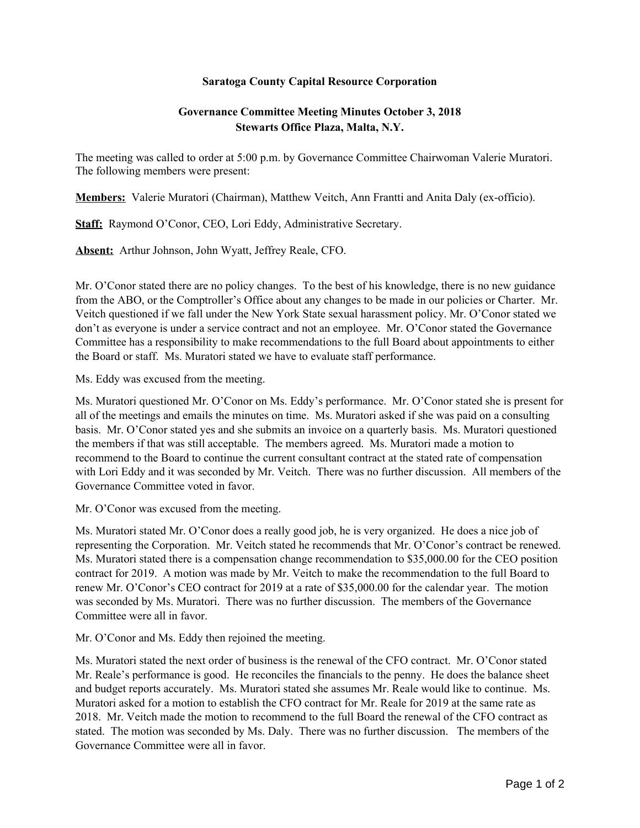## **Saratoga County Capital Resource Corporation**

## **Governance Committee Meeting Minutes October 3, 2018 Stewarts Office Plaza, Malta, N.Y.**

The meeting was called to order at 5:00 p.m. by Governance Committee Chairwoman Valerie Muratori. The following members were present:

**Members:** Valerie Muratori (Chairman), Matthew Veitch, Ann Frantti and Anita Daly (ex-officio).

**Staff:** Raymond O'Conor, CEO, Lori Eddy, Administrative Secretary.

**Absent:** Arthur Johnson, John Wyatt, Jeffrey Reale, CFO.

Mr. O'Conor stated there are no policy changes. To the best of his knowledge, there is no new guidance from the ABO, or the Comptroller's Office about any changes to be made in our policies or Charter. Mr. Veitch questioned if we fall under the New York State sexual harassment policy. Mr. O'Conor stated we don't as everyone is under a service contract and not an employee. Mr. O'Conor stated the Governance Committee has a responsibility to make recommendations to the full Board about appointments to either the Board or staff. Ms. Muratori stated we have to evaluate staff performance.

Ms. Eddy was excused from the meeting.

Ms. Muratori questioned Mr. O'Conor on Ms. Eddy's performance. Mr. O'Conor stated she is present for all of the meetings and emails the minutes on time. Ms. Muratori asked if she was paid on a consulting basis. Mr. O'Conor stated yes and she submits an invoice on a quarterly basis. Ms. Muratori questioned the members if that was still acceptable. The members agreed. Ms. Muratori made a motion to recommend to the Board to continue the current consultant contract at the stated rate of compensation with Lori Eddy and it was seconded by Mr. Veitch. There was no further discussion. All members of the Governance Committee voted in favor.

Mr. O'Conor was excused from the meeting.

Ms. Muratori stated Mr. O'Conor does a really good job, he is very organized. He does a nice job of representing the Corporation. Mr. Veitch stated he recommends that Mr. O'Conor's contract be renewed. Ms. Muratori stated there is a compensation change recommendation to \$35,000.00 for the CEO position contract for 2019. A motion was made by Mr. Veitch to make the recommendation to the full Board to renew Mr. O'Conor's CEO contract for 2019 at a rate of \$35,000.00 for the calendar year. The motion was seconded by Ms. Muratori. There was no further discussion. The members of the Governance Committee were all in favor.

Mr. O'Conor and Ms. Eddy then rejoined the meeting.

Ms. Muratori stated the next order of business is the renewal of the CFO contract. Mr. O'Conor stated Mr. Reale's performance is good. He reconciles the financials to the penny. He does the balance sheet and budget reports accurately. Ms. Muratori stated she assumes Mr. Reale would like to continue. Ms. Muratori asked for a motion to establish the CFO contract for Mr. Reale for 2019 at the same rate as 2018. Mr. Veitch made the motion to recommend to the full Board the renewal of the CFO contract as stated. The motion was seconded by Ms. Daly. There was no further discussion. The members of the Governance Committee were all in favor.